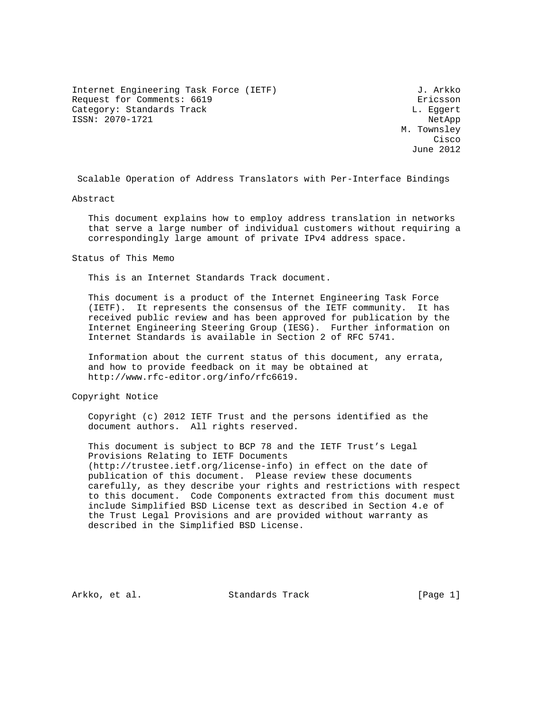Internet Engineering Task Force (IETF) 3. Arkko Request for Comments: 6619 **Exercise Expansion** Exicsson Category: Standards Track Category: Standards Track ISSN: 2070-1721 NetApp

 M. Townsley **Cisco de la contrata de la contrata de la contrata de la contrata de la contrata de la contrata de la contrat** June 2012

Scalable Operation of Address Translators with Per-Interface Bindings

Abstract

 This document explains how to employ address translation in networks that serve a large number of individual customers without requiring a correspondingly large amount of private IPv4 address space.

Status of This Memo

This is an Internet Standards Track document.

 This document is a product of the Internet Engineering Task Force (IETF). It represents the consensus of the IETF community. It has received public review and has been approved for publication by the Internet Engineering Steering Group (IESG). Further information on Internet Standards is available in Section 2 of RFC 5741.

 Information about the current status of this document, any errata, and how to provide feedback on it may be obtained at http://www.rfc-editor.org/info/rfc6619.

Copyright Notice

 Copyright (c) 2012 IETF Trust and the persons identified as the document authors. All rights reserved.

 This document is subject to BCP 78 and the IETF Trust's Legal Provisions Relating to IETF Documents (http://trustee.ietf.org/license-info) in effect on the date of publication of this document. Please review these documents carefully, as they describe your rights and restrictions with respect to this document. Code Components extracted from this document must include Simplified BSD License text as described in Section 4.e of the Trust Legal Provisions and are provided without warranty as described in the Simplified BSD License.

Arkko, et al. Standards Track [Page 1]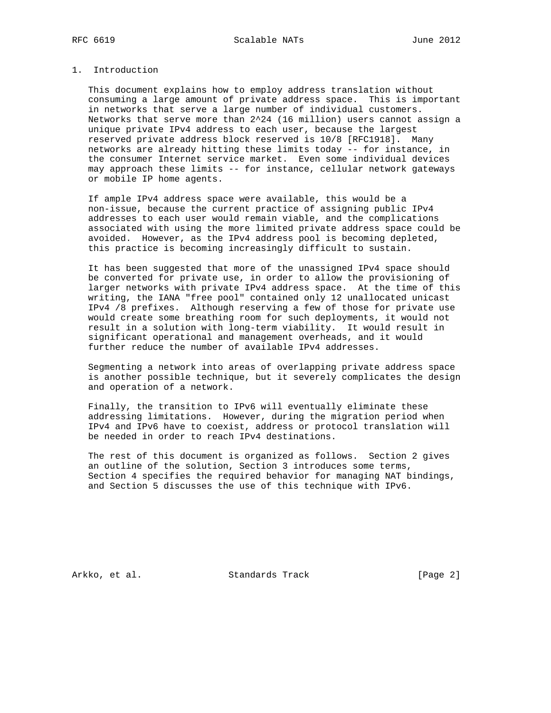## 1. Introduction

 This document explains how to employ address translation without consuming a large amount of private address space. This is important in networks that serve a large number of individual customers. Networks that serve more than 2^24 (16 million) users cannot assign a unique private IPv4 address to each user, because the largest reserved private address block reserved is 10/8 [RFC1918]. Many networks are already hitting these limits today -- for instance, in the consumer Internet service market. Even some individual devices may approach these limits -- for instance, cellular network gateways or mobile IP home agents.

 If ample IPv4 address space were available, this would be a non-issue, because the current practice of assigning public IPv4 addresses to each user would remain viable, and the complications associated with using the more limited private address space could be avoided. However, as the IPv4 address pool is becoming depleted, this practice is becoming increasingly difficult to sustain.

 It has been suggested that more of the unassigned IPv4 space should be converted for private use, in order to allow the provisioning of larger networks with private IPv4 address space. At the time of this writing, the IANA "free pool" contained only 12 unallocated unicast IPv4 /8 prefixes. Although reserving a few of those for private use would create some breathing room for such deployments, it would not result in a solution with long-term viability. It would result in significant operational and management overheads, and it would further reduce the number of available IPv4 addresses.

 Segmenting a network into areas of overlapping private address space is another possible technique, but it severely complicates the design and operation of a network.

 Finally, the transition to IPv6 will eventually eliminate these addressing limitations. However, during the migration period when IPv4 and IPv6 have to coexist, address or protocol translation will be needed in order to reach IPv4 destinations.

 The rest of this document is organized as follows. Section 2 gives an outline of the solution, Section 3 introduces some terms, Section 4 specifies the required behavior for managing NAT bindings, and Section 5 discusses the use of this technique with IPv6.

Arkko, et al. Standards Track [Page 2]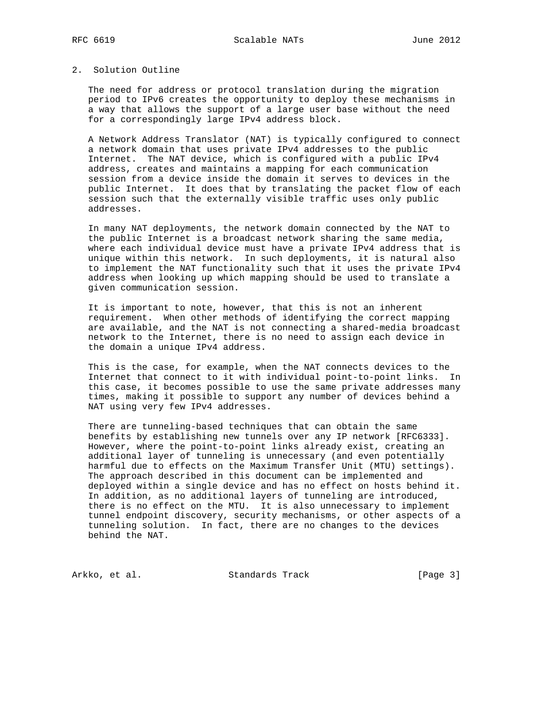## 2. Solution Outline

 The need for address or protocol translation during the migration period to IPv6 creates the opportunity to deploy these mechanisms in a way that allows the support of a large user base without the need for a correspondingly large IPv4 address block.

 A Network Address Translator (NAT) is typically configured to connect a network domain that uses private IPv4 addresses to the public Internet. The NAT device, which is configured with a public IPv4 address, creates and maintains a mapping for each communication session from a device inside the domain it serves to devices in the public Internet. It does that by translating the packet flow of each session such that the externally visible traffic uses only public addresses.

 In many NAT deployments, the network domain connected by the NAT to the public Internet is a broadcast network sharing the same media, where each individual device must have a private IPv4 address that is unique within this network. In such deployments, it is natural also to implement the NAT functionality such that it uses the private IPv4 address when looking up which mapping should be used to translate a given communication session.

 It is important to note, however, that this is not an inherent requirement. When other methods of identifying the correct mapping are available, and the NAT is not connecting a shared-media broadcast network to the Internet, there is no need to assign each device in the domain a unique IPv4 address.

 This is the case, for example, when the NAT connects devices to the Internet that connect to it with individual point-to-point links. In this case, it becomes possible to use the same private addresses many times, making it possible to support any number of devices behind a NAT using very few IPv4 addresses.

 There are tunneling-based techniques that can obtain the same benefits by establishing new tunnels over any IP network [RFC6333]. However, where the point-to-point links already exist, creating an additional layer of tunneling is unnecessary (and even potentially harmful due to effects on the Maximum Transfer Unit (MTU) settings). The approach described in this document can be implemented and deployed within a single device and has no effect on hosts behind it. In addition, as no additional layers of tunneling are introduced, there is no effect on the MTU. It is also unnecessary to implement tunnel endpoint discovery, security mechanisms, or other aspects of a tunneling solution. In fact, there are no changes to the devices behind the NAT.

Arkko, et al. Standards Track [Page 3]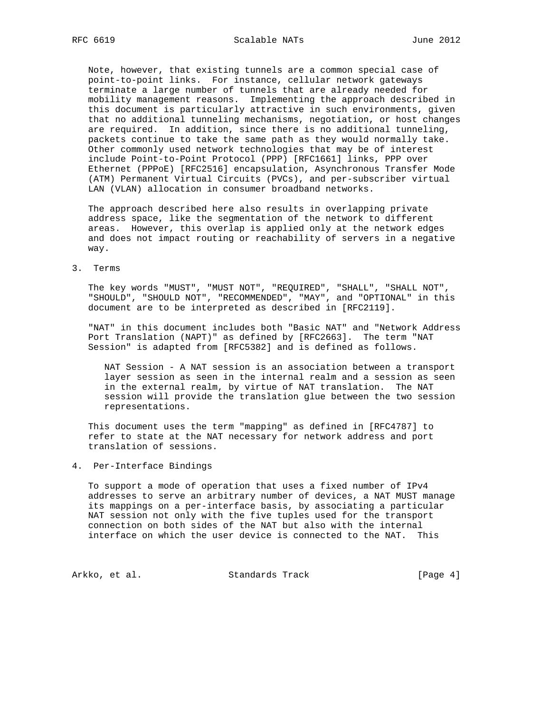Note, however, that existing tunnels are a common special case of point-to-point links. For instance, cellular network gateways terminate a large number of tunnels that are already needed for mobility management reasons. Implementing the approach described in this document is particularly attractive in such environments, given that no additional tunneling mechanisms, negotiation, or host changes are required. In addition, since there is no additional tunneling, packets continue to take the same path as they would normally take. Other commonly used network technologies that may be of interest include Point-to-Point Protocol (PPP) [RFC1661] links, PPP over Ethernet (PPPoE) [RFC2516] encapsulation, Asynchronous Transfer Mode (ATM) Permanent Virtual Circuits (PVCs), and per-subscriber virtual LAN (VLAN) allocation in consumer broadband networks.

 The approach described here also results in overlapping private address space, like the segmentation of the network to different areas. However, this overlap is applied only at the network edges and does not impact routing or reachability of servers in a negative way.

3. Terms

 The key words "MUST", "MUST NOT", "REQUIRED", "SHALL", "SHALL NOT", "SHOULD", "SHOULD NOT", "RECOMMENDED", "MAY", and "OPTIONAL" in this document are to be interpreted as described in [RFC2119].

 "NAT" in this document includes both "Basic NAT" and "Network Address Port Translation (NAPT)" as defined by [RFC2663]. The term "NAT Session" is adapted from [RFC5382] and is defined as follows.

 NAT Session - A NAT session is an association between a transport layer session as seen in the internal realm and a session as seen in the external realm, by virtue of NAT translation. The NAT session will provide the translation glue between the two session representations.

 This document uses the term "mapping" as defined in [RFC4787] to refer to state at the NAT necessary for network address and port translation of sessions.

4. Per-Interface Bindings

 To support a mode of operation that uses a fixed number of IPv4 addresses to serve an arbitrary number of devices, a NAT MUST manage its mappings on a per-interface basis, by associating a particular NAT session not only with the five tuples used for the transport connection on both sides of the NAT but also with the internal interface on which the user device is connected to the NAT. This

Arkko, et al. Standards Track [Page 4]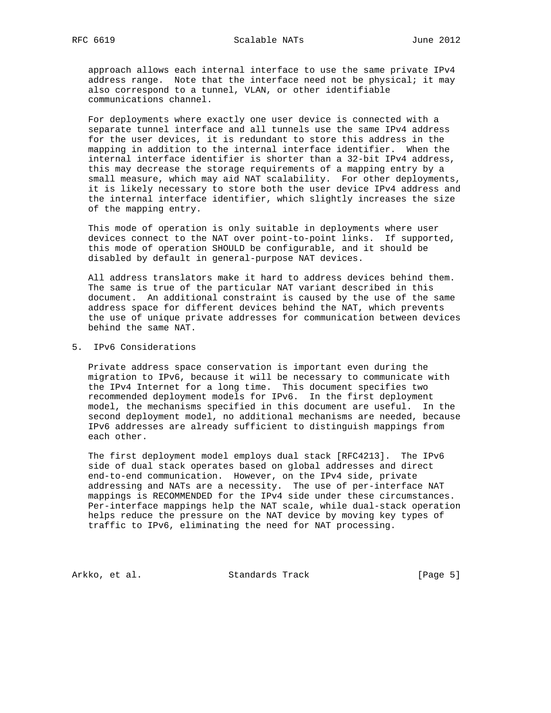approach allows each internal interface to use the same private IPv4 address range. Note that the interface need not be physical; it may also correspond to a tunnel, VLAN, or other identifiable communications channel.

 For deployments where exactly one user device is connected with a separate tunnel interface and all tunnels use the same IPv4 address for the user devices, it is redundant to store this address in the mapping in addition to the internal interface identifier. When the internal interface identifier is shorter than a 32-bit IPv4 address, this may decrease the storage requirements of a mapping entry by a small measure, which may aid NAT scalability. For other deployments, it is likely necessary to store both the user device IPv4 address and the internal interface identifier, which slightly increases the size of the mapping entry.

 This mode of operation is only suitable in deployments where user devices connect to the NAT over point-to-point links. If supported, this mode of operation SHOULD be configurable, and it should be disabled by default in general-purpose NAT devices.

 All address translators make it hard to address devices behind them. The same is true of the particular NAT variant described in this document. An additional constraint is caused by the use of the same address space for different devices behind the NAT, which prevents the use of unique private addresses for communication between devices behind the same NAT.

5. IPv6 Considerations

 Private address space conservation is important even during the migration to IPv6, because it will be necessary to communicate with the IPv4 Internet for a long time. This document specifies two recommended deployment models for IPv6. In the first deployment model, the mechanisms specified in this document are useful. In the second deployment model, no additional mechanisms are needed, because IPv6 addresses are already sufficient to distinguish mappings from each other.

 The first deployment model employs dual stack [RFC4213]. The IPv6 side of dual stack operates based on global addresses and direct end-to-end communication. However, on the IPv4 side, private addressing and NATs are a necessity. The use of per-interface NAT mappings is RECOMMENDED for the IPv4 side under these circumstances. Per-interface mappings help the NAT scale, while dual-stack operation helps reduce the pressure on the NAT device by moving key types of traffic to IPv6, eliminating the need for NAT processing.

Arkko, et al. Standards Track [Page 5]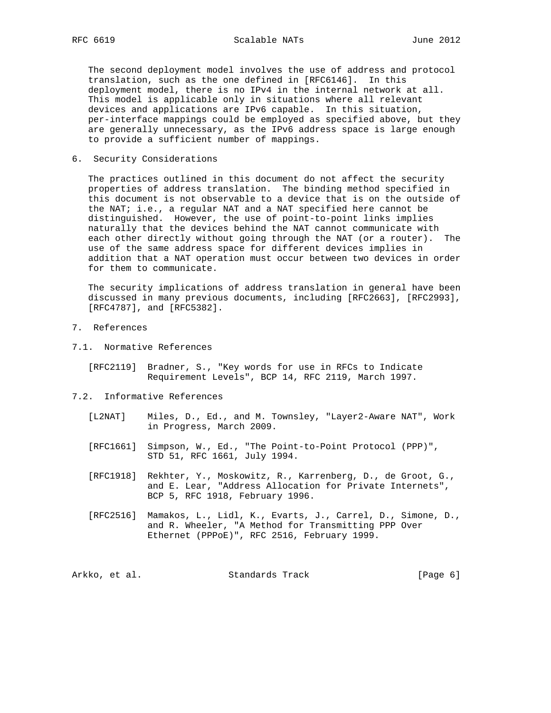The second deployment model involves the use of address and protocol translation, such as the one defined in [RFC6146]. In this deployment model, there is no IPv4 in the internal network at all. This model is applicable only in situations where all relevant devices and applications are IPv6 capable. In this situation, per-interface mappings could be employed as specified above, but they are generally unnecessary, as the IPv6 address space is large enough to provide a sufficient number of mappings.

6. Security Considerations

 The practices outlined in this document do not affect the security properties of address translation. The binding method specified in this document is not observable to a device that is on the outside of the NAT; i.e., a regular NAT and a NAT specified here cannot be distinguished. However, the use of point-to-point links implies naturally that the devices behind the NAT cannot communicate with each other directly without going through the NAT (or a router). The use of the same address space for different devices implies in addition that a NAT operation must occur between two devices in order for them to communicate.

 The security implications of address translation in general have been discussed in many previous documents, including [RFC2663], [RFC2993], [RFC4787], and [RFC5382].

- 7. References
- 7.1. Normative References
	- [RFC2119] Bradner, S., "Key words for use in RFCs to Indicate Requirement Levels", BCP 14, RFC 2119, March 1997.
- 7.2. Informative References
	- [L2NAT] Miles, D., Ed., and M. Townsley, "Layer2-Aware NAT", Work in Progress, March 2009.
	- [RFC1661] Simpson, W., Ed., "The Point-to-Point Protocol (PPP)", STD 51, RFC 1661, July 1994.
	- [RFC1918] Rekhter, Y., Moskowitz, R., Karrenberg, D., de Groot, G., and E. Lear, "Address Allocation for Private Internets", BCP 5, RFC 1918, February 1996.
	- [RFC2516] Mamakos, L., Lidl, K., Evarts, J., Carrel, D., Simone, D., and R. Wheeler, "A Method for Transmitting PPP Over Ethernet (PPPoE)", RFC 2516, February 1999.

Arkko, et al. Standards Track [Page 6]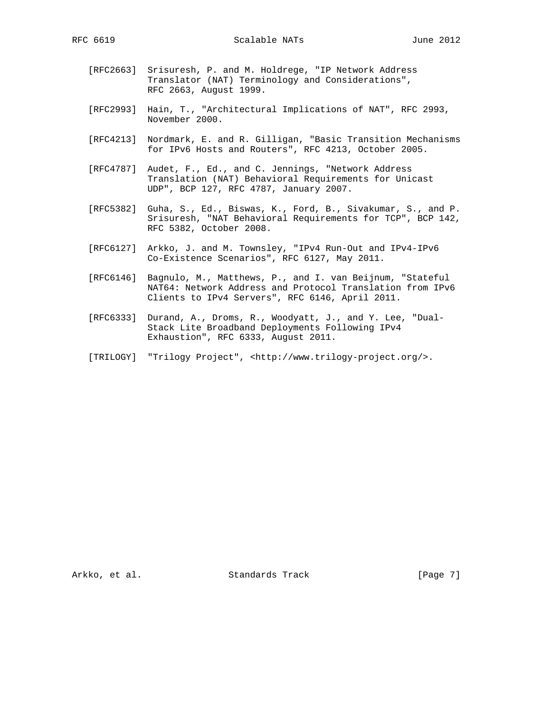RFC 6619 Scalable NATs June 2012

- [RFC2663] Srisuresh, P. and M. Holdrege, "IP Network Address Translator (NAT) Terminology and Considerations", RFC 2663, August 1999.
- [RFC2993] Hain, T., "Architectural Implications of NAT", RFC 2993, November 2000.
- [RFC4213] Nordmark, E. and R. Gilligan, "Basic Transition Mechanisms for IPv6 Hosts and Routers", RFC 4213, October 2005.
- [RFC4787] Audet, F., Ed., and C. Jennings, "Network Address Translation (NAT) Behavioral Requirements for Unicast UDP", BCP 127, RFC 4787, January 2007.
- [RFC5382] Guha, S., Ed., Biswas, K., Ford, B., Sivakumar, S., and P. Srisuresh, "NAT Behavioral Requirements for TCP", BCP 142, RFC 5382, October 2008.
- [RFC6127] Arkko, J. and M. Townsley, "IPv4 Run-Out and IPv4-IPv6 Co-Existence Scenarios", RFC 6127, May 2011.
- [RFC6146] Bagnulo, M., Matthews, P., and I. van Beijnum, "Stateful NAT64: Network Address and Protocol Translation from IPv6 Clients to IPv4 Servers", RFC 6146, April 2011.
- [RFC6333] Durand, A., Droms, R., Woodyatt, J., and Y. Lee, "Dual- Stack Lite Broadband Deployments Following IPv4 Exhaustion", RFC 6333, August 2011.
- [TRILOGY] "Trilogy Project", <http://www.trilogy-project.org/>.

Arkko, et al. Standards Track [Page 7]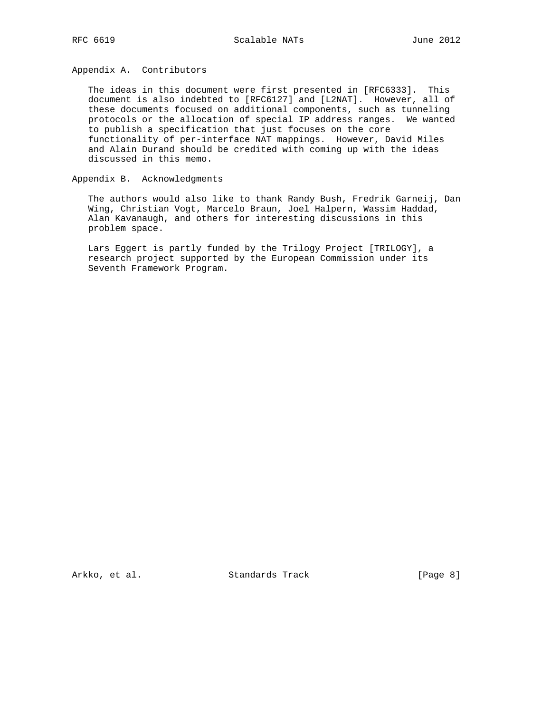Appendix A. Contributors

 The ideas in this document were first presented in [RFC6333]. This document is also indebted to [RFC6127] and [L2NAT]. However, all of these documents focused on additional components, such as tunneling protocols or the allocation of special IP address ranges. We wanted to publish a specification that just focuses on the core functionality of per-interface NAT mappings. However, David Miles and Alain Durand should be credited with coming up with the ideas discussed in this memo.

Appendix B. Acknowledgments

 The authors would also like to thank Randy Bush, Fredrik Garneij, Dan Wing, Christian Vogt, Marcelo Braun, Joel Halpern, Wassim Haddad, Alan Kavanaugh, and others for interesting discussions in this problem space.

 Lars Eggert is partly funded by the Trilogy Project [TRILOGY], a research project supported by the European Commission under its Seventh Framework Program.

Arkko, et al. Standards Track [Page 8]